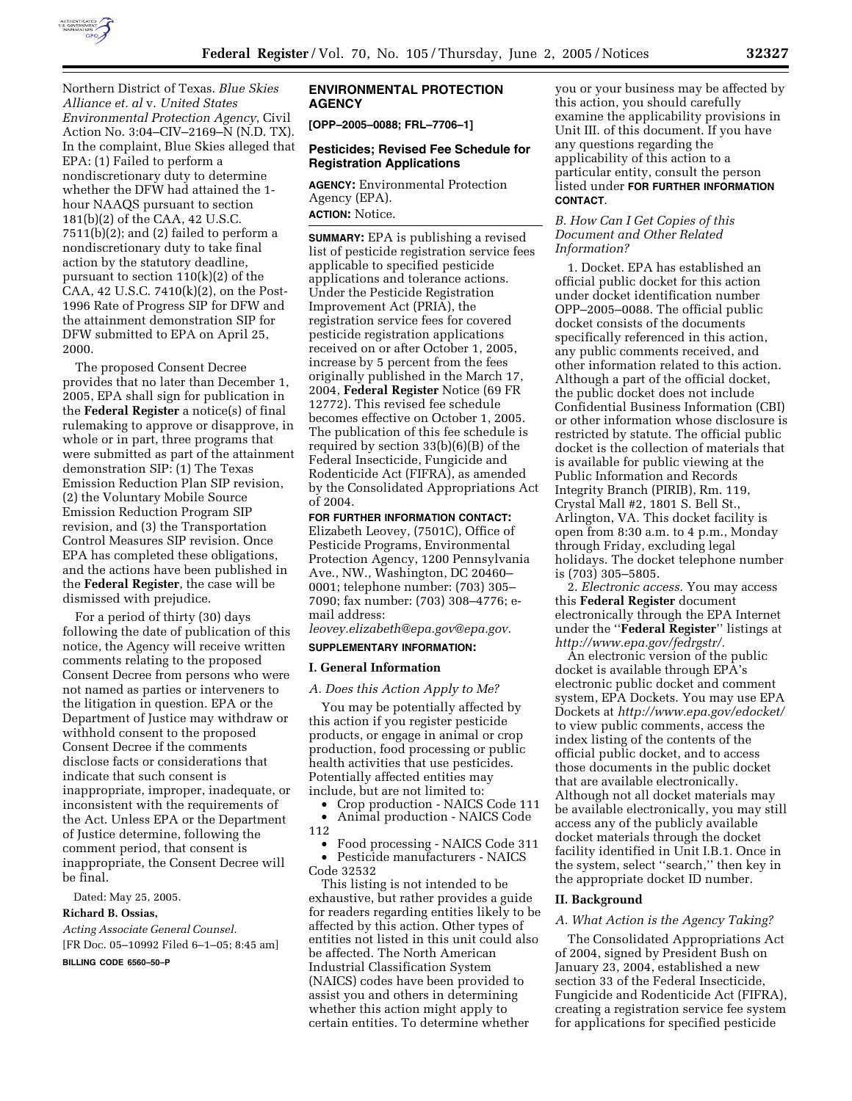

Northern District of Texas. *Blue Skies Alliance et. al* v. *United States Environmental Protection Agency*, Civil Action No. 3:04–CIV–2169–N (N.D. TX). In the complaint, Blue Skies alleged that EPA: (1) Failed to perform a nondiscretionary duty to determine whether the DFW had attained the 1 hour NAAQS pursuant to section 181(b)(2) of the CAA, 42 U.S.C. 7511(b)(2); and (2) failed to perform a nondiscretionary duty to take final action by the statutory deadline, pursuant to section 110(k)(2) of the CAA, 42 U.S.C. 7410(k)(2), on the Post-1996 Rate of Progress SIP for DFW and the attainment demonstration SIP for DFW submitted to EPA on April 25, 2000.

The proposed Consent Decree provides that no later than December 1, 2005, EPA shall sign for publication in the **Federal Register** a notice(s) of final rulemaking to approve or disapprove, in whole or in part, three programs that were submitted as part of the attainment demonstration SIP: (1) The Texas Emission Reduction Plan SIP revision, (2) the Voluntary Mobile Source Emission Reduction Program SIP revision, and (3) the Transportation Control Measures SIP revision. Once EPA has completed these obligations, and the actions have been published in the **Federal Register**, the case will be dismissed with prejudice.

For a period of thirty (30) days following the date of publication of this notice, the Agency will receive written comments relating to the proposed Consent Decree from persons who were not named as parties or interveners to the litigation in question. EPA or the Department of Justice may withdraw or withhold consent to the proposed Consent Decree if the comments disclose facts or considerations that indicate that such consent is inappropriate, improper, inadequate, or inconsistent with the requirements of the Act. Unless EPA or the Department of Justice determine, following the comment period, that consent is inappropriate, the Consent Decree will be final.

Dated: May 25, 2005.

#### **Richard B. Ossias,**

*Acting Associate General Counsel.* [FR Doc. 05–10992 Filed 6–1–05; 8:45 am]

**BILLING CODE 6560–50–P**

### **ENVIRONMENTAL PROTECTION AGENCY**

**[OPP–2005–0088; FRL–7706–1]**

### **Pesticides; Revised Fee Schedule for Registration Applications**

**AGENCY:** Environmental Protection Agency (EPA). **ACTION:** Notice.

**SUMMARY:** EPA is publishing a revised list of pesticide registration service fees applicable to specified pesticide applications and tolerance actions. Under the Pesticide Registration Improvement Act (PRIA), the registration service fees for covered pesticide registration applications received on or after October 1, 2005, increase by 5 percent from the fees originally published in the March 17, 2004, **Federal Register** Notice (69 FR 12772). This revised fee schedule becomes effective on October 1, 2005. The publication of this fee schedule is required by section 33(b)(6)(B) of the Federal Insecticide, Fungicide and Rodenticide Act (FIFRA), as amended by the Consolidated Appropriations Act of 2004.

**FOR FURTHER INFORMATION CONTACT:** Elizabeth Leovey, (7501C), Office of Pesticide Programs, Environmental Protection Agency, 1200 Pennsylvania Ave., NW., Washington, DC 20460– 0001; telephone number: (703) 305– 7090; fax number: (703) 308–4776; email address:

*leovey.elizabeth@epa.gov@epa.gov*.

### **SUPPLEMENTARY INFORMATION:**

#### **I. General Information**

### *A. Does this Action Apply to Me?*

You may be potentially affected by this action if you register pesticide products, or engage in animal or crop production, food processing or public health activities that use pesticides. Potentially affected entities may include, but are not limited to:

• Crop production - NAICS Code 111

• Animal production - NAICS Code

112

• Food processing - NAICS Code 311 • Pesticide manufacturers - NAICS Code 32532

This listing is not intended to be exhaustive, but rather provides a guide for readers regarding entities likely to be affected by this action. Other types of entities not listed in this unit could also be affected. The North American Industrial Classification System (NAICS) codes have been provided to assist you and others in determining whether this action might apply to certain entities. To determine whether

you or your business may be affected by this action, you should carefully examine the applicability provisions in Unit III. of this document. If you have any questions regarding the applicability of this action to a particular entity, consult the person listed under **FOR FURTHER INFORMATION CONTACT**.

### *B. How Can I Get Copies of this Document and Other Related Information?*

1. Docket. EPA has established an official public docket for this action under docket identification number OPP–2005–0088. The official public docket consists of the documents specifically referenced in this action, any public comments received, and other information related to this action. Although a part of the official docket, the public docket does not include Confidential Business Information (CBI) or other information whose disclosure is restricted by statute. The official public docket is the collection of materials that is available for public viewing at the Public Information and Records Integrity Branch (PIRIB), Rm. 119, Crystal Mall #2, 1801 S. Bell St., Arlington, VA. This docket facility is open from 8:30 a.m. to 4 p.m., Monday through Friday, excluding legal holidays. The docket telephone number is (703) 305–5805.

2. *Electronic access.* You may access this **Federal Register** document electronically through the EPA Internet under the ''**Federal Register**'' listings at *http://www.epa.gov/fedrgstr/.*

An electronic version of the public docket is available through EPA's electronic public docket and comment system, EPA Dockets. You may use EPA Dockets at *http://www.epa.gov/edocket/* to view public comments, access the index listing of the contents of the official public docket, and to access those documents in the public docket that are available electronically. Although not all docket materials may be available electronically, you may still access any of the publicly available docket materials through the docket facility identified in Unit I.B.1. Once in the system, select ''search,'' then key in the appropriate docket ID number.

### **II. Background**

#### *A. What Action is the Agency Taking?*

The Consolidated Appropriations Act of 2004, signed by President Bush on January 23, 2004, established a new section 33 of the Federal Insecticide, Fungicide and Rodenticide Act (FIFRA), creating a registration service fee system for applications for specified pesticide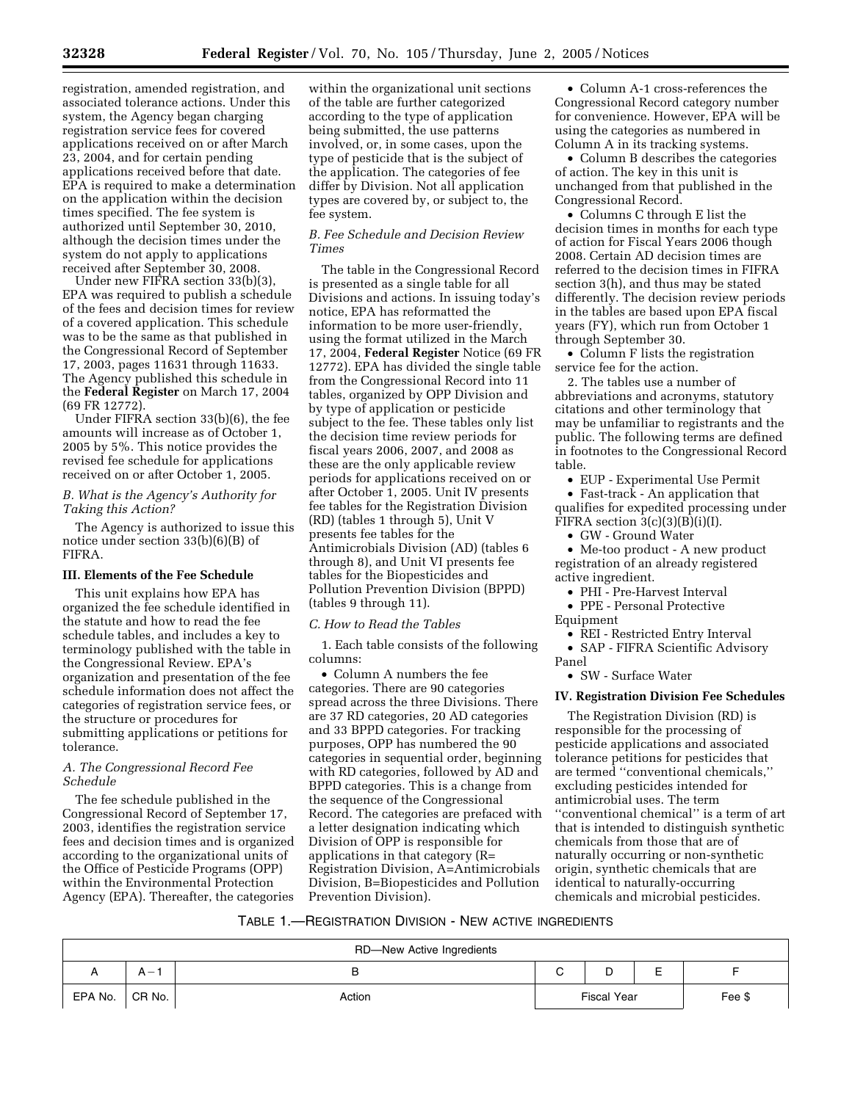registration, amended registration, and associated tolerance actions. Under this system, the Agency began charging registration service fees for covered applications received on or after March 23, 2004, and for certain pending applications received before that date. EPA is required to make a determination on the application within the decision times specified. The fee system is authorized until September 30, 2010, although the decision times under the system do not apply to applications received after September 30, 2008.

Under new FIFRA section 33(b)(3), EPA was required to publish a schedule of the fees and decision times for review of a covered application. This schedule was to be the same as that published in the Congressional Record of September 17, 2003, pages 11631 through 11633. The Agency published this schedule in the **Federal Register** on March 17, 2004 (69 FR 12772).

Under FIFRA section 33(b)(6), the fee amounts will increase as of October 1, 2005 by 5%. This notice provides the revised fee schedule for applications received on or after October 1, 2005.

### *B. What is the Agency's Authority for Taking this Action?*

The Agency is authorized to issue this notice under section 33(b)(6)(B) of FIFRA.

### **III. Elements of the Fee Schedule**

This unit explains how EPA has organized the fee schedule identified in the statute and how to read the fee schedule tables, and includes a key to terminology published with the table in the Congressional Review. EPA's organization and presentation of the fee schedule information does not affect the categories of registration service fees, or the structure or procedures for submitting applications or petitions for tolerance.

### *A. The Congressional Record Fee Schedule*

The fee schedule published in the Congressional Record of September 17, 2003, identifies the registration service fees and decision times and is organized according to the organizational units of the Office of Pesticide Programs (OPP) within the Environmental Protection Agency (EPA). Thereafter, the categories

within the organizational unit sections of the table are further categorized according to the type of application being submitted, the use patterns involved, or, in some cases, upon the type of pesticide that is the subject of the application. The categories of fee differ by Division. Not all application types are covered by, or subject to, the fee system.

### *B. Fee Schedule and Decision Review Times*

The table in the Congressional Record is presented as a single table for all Divisions and actions. In issuing today's notice, EPA has reformatted the information to be more user-friendly, using the format utilized in the March 17, 2004, **Federal Register** Notice (69 FR 12772). EPA has divided the single table from the Congressional Record into 11 tables, organized by OPP Division and by type of application or pesticide subject to the fee. These tables only list the decision time review periods for fiscal years 2006, 2007, and 2008 as these are the only applicable review periods for applications received on or after October 1, 2005. Unit IV presents fee tables for the Registration Division (RD) (tables 1 through 5), Unit V presents fee tables for the Antimicrobials Division (AD) (tables 6 through 8), and Unit VI presents fee tables for the Biopesticides and Pollution Prevention Division (BPPD) (tables 9 through 11).

### *C. How to Read the Tables*

1. Each table consists of the following columns:

• Column A numbers the fee categories. There are 90 categories spread across the three Divisions. There are 37 RD categories, 20 AD categories and 33 BPPD categories. For tracking purposes, OPP has numbered the 90 categories in sequential order, beginning with RD categories, followed by AD and BPPD categories. This is a change from the sequence of the Congressional Record. The categories are prefaced with a letter designation indicating which Division of OPP is responsible for applications in that category (R= Registration Division, A=Antimicrobials Division, B=Biopesticides and Pollution Prevention Division).

• Column A-1 cross-references the Congressional Record category number for convenience. However, EPA will be using the categories as numbered in Column A in its tracking systems.

• Column B describes the categories of action. The key in this unit is unchanged from that published in the Congressional Record.

• Columns C through E list the decision times in months for each type of action for Fiscal Years 2006 though 2008. Certain AD decision times are referred to the decision times in FIFRA section 3(h), and thus may be stated differently. The decision review periods in the tables are based upon EPA fiscal years (FY), which run from October 1 through September 30.

• Column F lists the registration service fee for the action.

2. The tables use a number of abbreviations and acronyms, statutory citations and other terminology that may be unfamiliar to registrants and the public. The following terms are defined in footnotes to the Congressional Record table.

• EUP - Experimental Use Permit

• Fast-track - An application that qualifies for expedited processing under FIFRA section  $3(c)(3)(B)(i)(I)$ .

• GW - Ground Water

• Me-too product - A new product registration of an already registered active ingredient.

- PHI Pre-Harvest Interval
- PPE Personal Protective Equipment

• REI - Restricted Entry Interval

• SAP - FIFRA Scientific Advisory Panel

• SW - Surface Water

### **IV. Registration Division Fee Schedules**

The Registration Division (RD) is responsible for the processing of pesticide applications and associated tolerance petitions for pesticides that are termed ''conventional chemicals,'' excluding pesticides intended for antimicrobial uses. The term ''conventional chemical'' is a term of art that is intended to distinguish synthetic chemicals from those that are of naturally occurring or non-synthetic origin, synthetic chemicals that are identical to naturally-occurring chemicals and microbial pesticides.

### TABLE 1.—REGISTRATION DIVISION - NEW ACTIVE INGREDIENTS

|         |          | RD-New Active Ingredients |                    |   |        |
|---------|----------|---------------------------|--------------------|---|--------|
|         | A —      | ь                         | ັ                  | – |        |
| EPA No. | ' CR No. | Action                    | <b>Fiscal Year</b> |   | Fee \$ |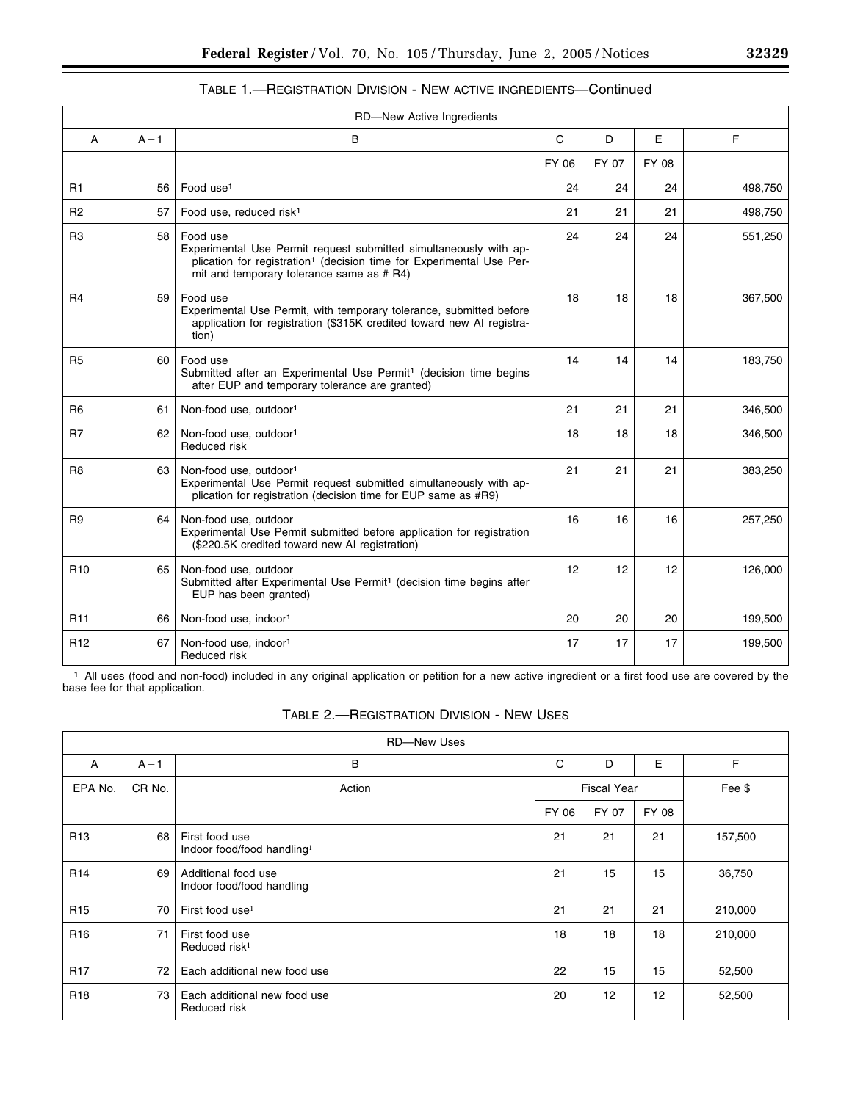|                 |         | RD-New Active Ingredients                                                                                                                                                                                      |       |       |       |         |
|-----------------|---------|----------------------------------------------------------------------------------------------------------------------------------------------------------------------------------------------------------------|-------|-------|-------|---------|
| A               | $A - 1$ | В                                                                                                                                                                                                              | C     | D     | Е     | F       |
|                 |         |                                                                                                                                                                                                                | FY 06 | FY 07 | FY 08 |         |
| R <sub>1</sub>  | 56      | Food use <sup>1</sup>                                                                                                                                                                                          | 24    | 24    | 24    | 498,750 |
| R <sub>2</sub>  | 57      | Food use, reduced risk <sup>1</sup>                                                                                                                                                                            | 21    | 21    | 21    | 498,750 |
| R3              | 58      | Food use<br>Experimental Use Permit request submitted simultaneously with ap-<br>plication for registration <sup>1</sup> (decision time for Experimental Use Per-<br>mit and temporary tolerance same as # R4) | 24    | 24    | 24    | 551,250 |
| R <sub>4</sub>  | 59      | Food use<br>Experimental Use Permit, with temporary tolerance, submitted before<br>application for registration (\$315K credited toward new AI registra-<br>tion)                                              | 18    | 18    | 18    | 367,500 |
| R <sub>5</sub>  | 60      | Food use<br>Submitted after an Experimental Use Permit <sup>1</sup> (decision time begins<br>after EUP and temporary tolerance are granted)                                                                    | 14    | 14    | 14    | 183,750 |
| R <sub>6</sub>  | 61      | Non-food use, outdoor <sup>1</sup>                                                                                                                                                                             | 21    | 21    | 21    | 346,500 |
| R7              | 62      | Non-food use, outdoor <sup>1</sup><br>Reduced risk                                                                                                                                                             | 18    | 18    | 18    | 346,500 |
| R <sub>8</sub>  | 63      | Non-food use, outdoor <sup>1</sup><br>Experimental Use Permit request submitted simultaneously with ap-<br>plication for registration (decision time for EUP same as #R9)                                      | 21    | 21    | 21    | 383,250 |
| R <sub>9</sub>  | 64      | Non-food use, outdoor<br>Experimental Use Permit submitted before application for registration<br>(\$220.5K credited toward new AI registration)                                                               | 16    | 16    | 16    | 257,250 |
| R <sub>10</sub> | 65      | Non-food use, outdoor<br>Submitted after Experimental Use Permit <sup>1</sup> (decision time begins after<br>EUP has been granted)                                                                             | 12    | 12    | 12    | 126,000 |
| R <sub>11</sub> | 66      | Non-food use, indoor <sup>1</sup>                                                                                                                                                                              | 20    | 20    | 20    | 199,500 |
| R12             | 67      | Non-food use, indoor <sup>1</sup><br>Reduced risk                                                                                                                                                              | 17    | 17    | 17    | 199,500 |

TABLE 1.—REGISTRATION DIVISION - NEW ACTIVE INGREDIENTS—Continued

1 All uses (food and non-food) included in any original application or petition for a new active ingredient or a first food use are covered by the base fee for that application.

|                 |         | <b>RD-New Uses</b>                                       |       |                    |       |         |
|-----------------|---------|----------------------------------------------------------|-------|--------------------|-------|---------|
| A               | $A - 1$ | В                                                        | C     | D                  | E     | F       |
| EPA No.         | CR No.  | Action                                                   |       | <b>Fiscal Year</b> |       | Fee \$  |
|                 |         |                                                          | FY 06 | FY 07              | FY 08 |         |
| R <sub>13</sub> | 68      | First food use<br>Indoor food/food handling <sup>1</sup> | 21    | 21                 | 21    | 157,500 |
| R <sub>14</sub> | 69      | Additional food use<br>Indoor food/food handling         | 21    | 15                 | 15    | 36,750  |
| R <sub>15</sub> | 70      | First food use <sup>1</sup>                              | 21    | 21                 | 21    | 210,000 |
| R <sub>16</sub> | 71      | First food use<br>Reduced risk <sup>1</sup>              | 18    | 18                 | 18    | 210,000 |
| R <sub>17</sub> | 72      | Each additional new food use                             | 22    | 15                 | 15    | 52,500  |
| R <sub>18</sub> | 73      | Each additional new food use<br>Reduced risk             | 20    | 12                 | 12    | 52,500  |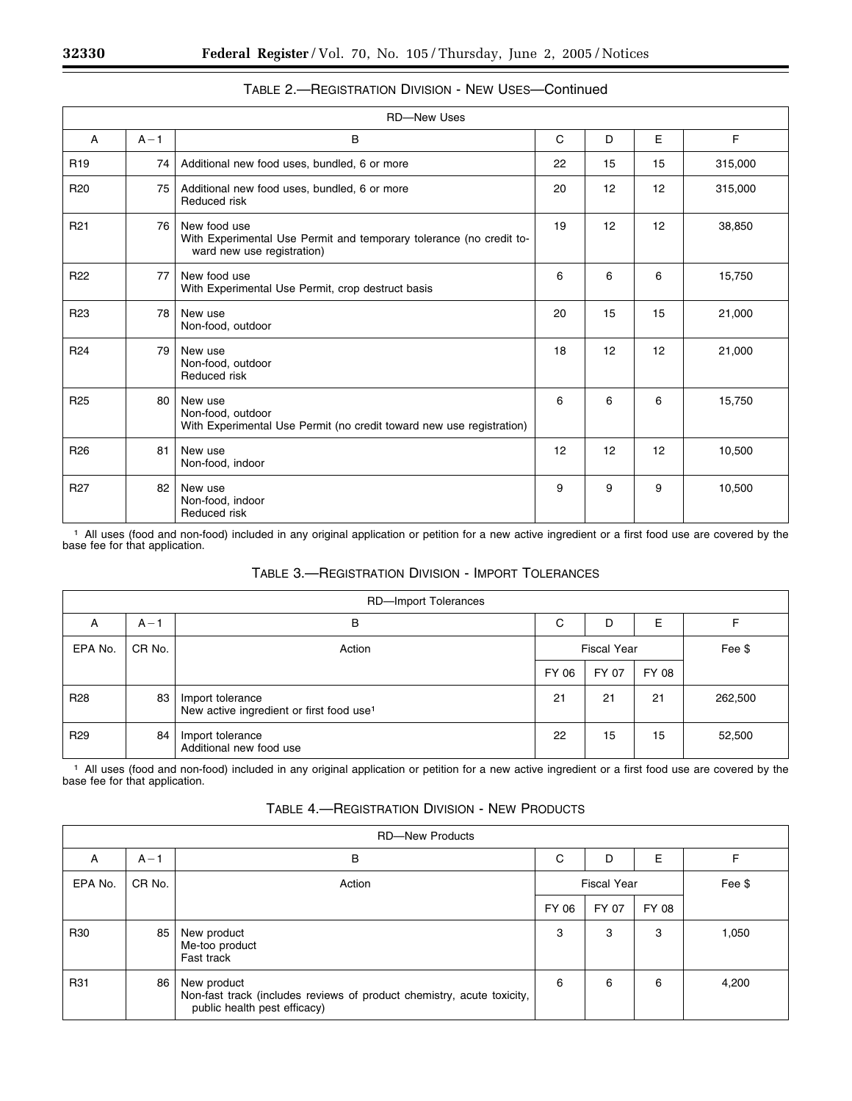|                 |         | <b>RD-New Uses</b>                                                                                                |    |    |    |         |
|-----------------|---------|-------------------------------------------------------------------------------------------------------------------|----|----|----|---------|
| A               | $A - 1$ | B                                                                                                                 | C  | D  | E  | F       |
| R <sub>19</sub> | 74      | Additional new food uses, bundled, 6 or more                                                                      | 22 | 15 | 15 | 315,000 |
| R <sub>20</sub> | 75      | Additional new food uses, bundled, 6 or more<br>Reduced risk                                                      | 20 | 12 | 12 | 315,000 |
| R <sub>21</sub> | 76      | New food use<br>With Experimental Use Permit and temporary tolerance (no credit to-<br>ward new use registration) | 19 | 12 | 12 | 38,850  |
| R <sub>22</sub> | 77      | New food use<br>With Experimental Use Permit, crop destruct basis                                                 | 6  | 6  | 6  | 15,750  |
| R <sub>23</sub> | 78      | New use<br>Non-food, outdoor                                                                                      | 20 | 15 | 15 | 21,000  |
| R <sub>24</sub> | 79      | New use<br>Non-food, outdoor<br>Reduced risk                                                                      | 18 | 12 | 12 | 21,000  |
| R <sub>25</sub> | 80      | New use<br>Non-food, outdoor<br>With Experimental Use Permit (no credit toward new use registration)              | 6  | 6  | 6  | 15,750  |
| R <sub>26</sub> | 81      | New use<br>Non-food, indoor                                                                                       | 12 | 12 | 12 | 10,500  |
| R <sub>27</sub> | 82      | New use<br>Non-food, indoor<br>Reduced risk                                                                       | 9  | 9  | 9  | 10,500  |

# TABLE 2.—REGISTRATION DIVISION - NEW USES—Continued

1 All uses (food and non-food) included in any original application or petition for a new active ingredient or a first food use are covered by the base fee for that application.

# TABLE 3.—REGISTRATION DIVISION - IMPORT TOLERANCES

|                 |         | RD-Import Tolerances                                                     |       |                    |        |         |
|-----------------|---------|--------------------------------------------------------------------------|-------|--------------------|--------|---------|
| A               | $A - 1$ | в                                                                        | C     | D                  | Е      |         |
| EPA No.         | CR No.  | Action                                                                   |       | <b>Fiscal Year</b> | Fee \$ |         |
|                 |         |                                                                          | FY 06 | FY 07              | FY 08  |         |
| R <sub>28</sub> | 83      | Import tolerance<br>New active ingredient or first food use <sup>1</sup> | 21    | 21                 | 21     | 262,500 |
| R <sub>29</sub> | 84      | Import tolerance<br>Additional new food use                              | 22    | 15                 | 15     | 52,500  |

1 All uses (food and non-food) included in any original application or petition for a new active ingredient or a first food use are covered by the base fee for that application.

| <b>TABLE 4.- REGISTRATION DIVISION - NEW PRODUCTS</b> |  |  |  |
|-------------------------------------------------------|--|--|--|
|-------------------------------------------------------|--|--|--|

|         | <b>RD-New Products</b> |                                                                                                                       |       |                    |        |       |  |  |  |  |
|---------|------------------------|-----------------------------------------------------------------------------------------------------------------------|-------|--------------------|--------|-------|--|--|--|--|
| A       | $A - 1$                | В                                                                                                                     | C     | D                  | E      | F     |  |  |  |  |
| EPA No. | CR No.                 | Action                                                                                                                |       | <b>Fiscal Year</b> | Fee \$ |       |  |  |  |  |
|         |                        |                                                                                                                       | FY 06 | FY 07              | FY 08  |       |  |  |  |  |
| R30     | 85                     | New product<br>Me-too product<br>Fast track                                                                           | 3     | 3                  | 3      | 1,050 |  |  |  |  |
| R31     | 86                     | New product<br>Non-fast track (includes reviews of product chemistry, acute toxicity,<br>public health pest efficacy) | 6     | 6                  | 6      | 4,200 |  |  |  |  |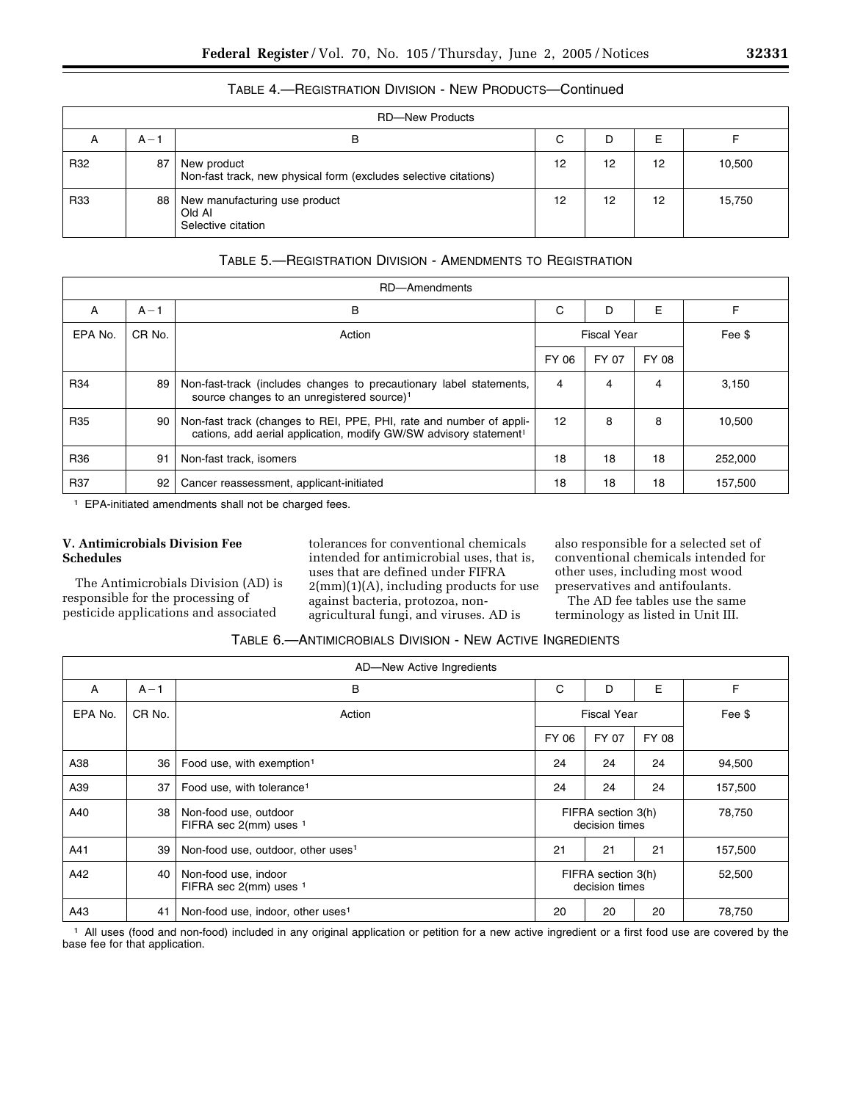|     | <b>RD-New Products</b> |                                                                                 |    |    |    |        |  |  |  |  |
|-----|------------------------|---------------------------------------------------------------------------------|----|----|----|--------|--|--|--|--|
| A   | $A - 1$                | в                                                                               | С  | D  | E  |        |  |  |  |  |
| R32 | 87                     | New product<br>Non-fast track, new physical form (excludes selective citations) | 12 | 12 | 12 | 10,500 |  |  |  |  |
| R33 | 88                     | New manufacturing use product<br>Old Al<br>Selective citation                   | 12 | 12 | 12 | 15,750 |  |  |  |  |

# TABLE 4.—REGISTRATION DIVISION - NEW PRODUCTS—Continued

# TABLE 5.—REGISTRATION DIVISION - AMENDMENTS TO REGISTRATION

| RD-Amendments |         |                                                                                                                                                      |                   |                    |        |         |  |  |  |  |
|---------------|---------|------------------------------------------------------------------------------------------------------------------------------------------------------|-------------------|--------------------|--------|---------|--|--|--|--|
| A             | $A - 1$ | В                                                                                                                                                    | C                 | D                  | E      |         |  |  |  |  |
| EPA No.       | CR No.  | Action                                                                                                                                               |                   | <b>Fiscal Year</b> | Fee \$ |         |  |  |  |  |
|               |         |                                                                                                                                                      | FY 06             | FY 07              | FY 08  |         |  |  |  |  |
| R34           | 89      | Non-fast-track (includes changes to precautionary label statements,<br>source changes to an unregistered source) <sup>1</sup>                        | 4                 | 4                  | 4      | 3,150   |  |  |  |  |
| R35           | 90      | Non-fast track (changes to REI, PPE, PHI, rate and number of appli-<br>cations, add aerial application, modify GW/SW advisory statement <sup>1</sup> | $12 \overline{ }$ | 8                  | 8      | 10,500  |  |  |  |  |
| R36           | 91      | Non-fast track, isomers                                                                                                                              | 18                | 18                 | 18     | 252,000 |  |  |  |  |
| R37           | 92      | Cancer reassessment, applicant-initiated                                                                                                             | 18                | 18                 | 18     | 157,500 |  |  |  |  |

1 EPA-initiated amendments shall not be charged fees.

### **V. Antimicrobials Division Fee Schedules**

The Antimicrobials Division (AD) is responsible for the processing of pesticide applications and associated

tolerances for conventional chemicals intended for antimicrobial uses, that is, uses that are defined under FIFRA  $2(mm)(1)(A)$ , including products for use against bacteria, protozoa, nonagricultural fungi, and viruses. AD is

also responsible for a selected set of conventional chemicals intended for other uses, including most wood preservatives and antifoulants.

The AD fee tables use the same terminology as listed in Unit III.

# TABLE 6.—ANTIMICROBIALS DIVISION - NEW ACTIVE INGREDIENTS

|         |         | AD-New Active Ingredients                       |       |                                      |        |         |
|---------|---------|-------------------------------------------------|-------|--------------------------------------|--------|---------|
| A       | $A - 1$ | В                                               | C     | D                                    | E      | F       |
| EPA No. | CR No.  | Action                                          |       | <b>Fiscal Year</b>                   |        | Fee \$  |
|         |         |                                                 | FY 06 | FY 07                                | FY 08  |         |
| A38     | 36      | Food use, with exemption <sup>1</sup>           | 24    | 24                                   | 24     | 94,500  |
| A39     | 37      | Food use, with tolerance <sup>1</sup>           | 24    | 24                                   | 24     | 157,500 |
| A40     | 38      | Non-food use, outdoor<br>FIFRA sec 2(mm) uses 1 |       | FIFRA section 3(h)<br>decision times | 78,750 |         |
| A41     | 39      | Non-food use, outdoor, other uses <sup>1</sup>  | 21    | 21                                   | 21     | 157,500 |
| A42     | 40      | Non-food use, indoor<br>FIFRA sec 2(mm) uses 1  |       | FIFRA section 3(h)<br>decision times | 52,500 |         |
| A43     | 41      | Non-food use, indoor, other uses <sup>1</sup>   | 20    | 20                                   | 20     | 78,750  |

1 All uses (food and non-food) included in any original application or petition for a new active ingredient or a first food use are covered by the base fee for that application.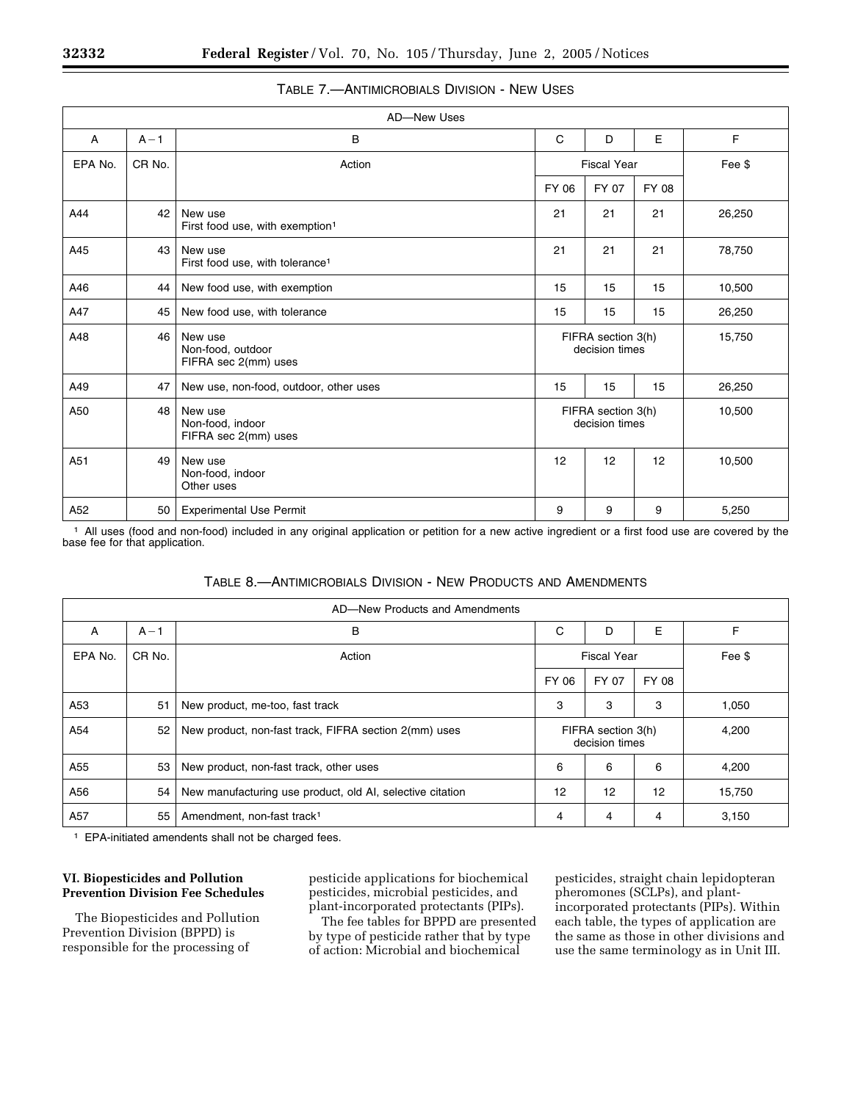|         |         | AD-New Uses                                            |                                      |                                      |       |        |
|---------|---------|--------------------------------------------------------|--------------------------------------|--------------------------------------|-------|--------|
| A       | $A - 1$ | В                                                      | C                                    | D                                    | E     | F      |
| EPA No. | CR No.  | Action                                                 |                                      | <b>Fiscal Year</b>                   |       | Fee \$ |
|         |         |                                                        | FY 06                                | FY 07                                | FY 08 |        |
| A44     | 42      | New use<br>First food use, with exemption <sup>1</sup> | 21                                   | 21                                   | 21    | 26,250 |
| A45     | 43      | New use<br>First food use, with tolerance <sup>1</sup> | 21                                   | 21                                   | 21    | 78,750 |
| A46     | 44      | New food use, with exemption                           | 15                                   | 15                                   | 15    | 10,500 |
| A47     | 45      | New food use, with tolerance                           | 15                                   | 15                                   | 15    | 26,250 |
| A48     | 46      | New use<br>Non-food, outdoor<br>FIFRA sec 2(mm) uses   |                                      | FIFRA section 3(h)<br>decision times |       | 15,750 |
| A49     | 47      | New use, non-food, outdoor, other uses                 | 15                                   | 15                                   | 15    | 26,250 |
| A50     | 48      | New use<br>Non-food, indoor<br>FIFRA sec 2(mm) uses    | FIFRA section 3(h)<br>decision times |                                      |       | 10,500 |
| A51     | 49      | New use<br>Non-food, indoor<br>Other uses              | 12                                   | 12                                   | 12    | 10,500 |
| A52     | 50      | <b>Experimental Use Permit</b>                         | 9                                    | 9                                    | 9     | 5,250  |

# TABLE 7.—ANTIMICROBIALS DIVISION - NEW USES

1 All uses (food and non-food) included in any original application or petition for a new active ingredient or a first food use are covered by the base fee for that application.

| AD-New Products and Amendments |         |                                                           |                    |                                      |       |        |  |  |
|--------------------------------|---------|-----------------------------------------------------------|--------------------|--------------------------------------|-------|--------|--|--|
| A                              | $A - 1$ | B                                                         | С                  | D                                    | E     | F      |  |  |
| EPA No.                        | CR No.  | Action                                                    | <b>Fiscal Year</b> |                                      |       | Fee \$ |  |  |
|                                |         |                                                           | FY 06              | FY 07                                | FY 08 |        |  |  |
| A53                            | 51      | New product, me-too, fast track                           | 3                  | 3                                    | 3     | 1,050  |  |  |
| A54                            | 52      | New product, non-fast track, FIFRA section 2(mm) uses     |                    | FIFRA section 3(h)<br>decision times | 4,200 |        |  |  |
| A55                            | 53      | New product, non-fast track, other uses                   | 6                  | 6                                    | 6     | 4,200  |  |  |
| A56                            | 54      | New manufacturing use product, old AI, selective citation | 12                 | 12                                   | 12    | 15,750 |  |  |
| A57                            | 55      | Amendment, non-fast track <sup>1</sup>                    | 4                  | 4                                    | 4     | 3,150  |  |  |

### TABLE 8.—ANTIMICROBIALS DIVISION - NEW PRODUCTS AND AMENDMENTS

1 EPA-initiated amendents shall not be charged fees.

### **VI. Biopesticides and Pollution Prevention Division Fee Schedules**

The Biopesticides and Pollution Prevention Division (BPPD) is responsible for the processing of

pesticide applications for biochemical pesticides, microbial pesticides, and plant-incorporated protectants (PIPs).

The fee tables for BPPD are presented by type of pesticide rather that by type of action: Microbial and biochemical

pesticides, straight chain lepidopteran pheromones (SCLPs), and plantincorporated protectants (PIPs). Within each table, the types of application are the same as those in other divisions and use the same terminology as in Unit III.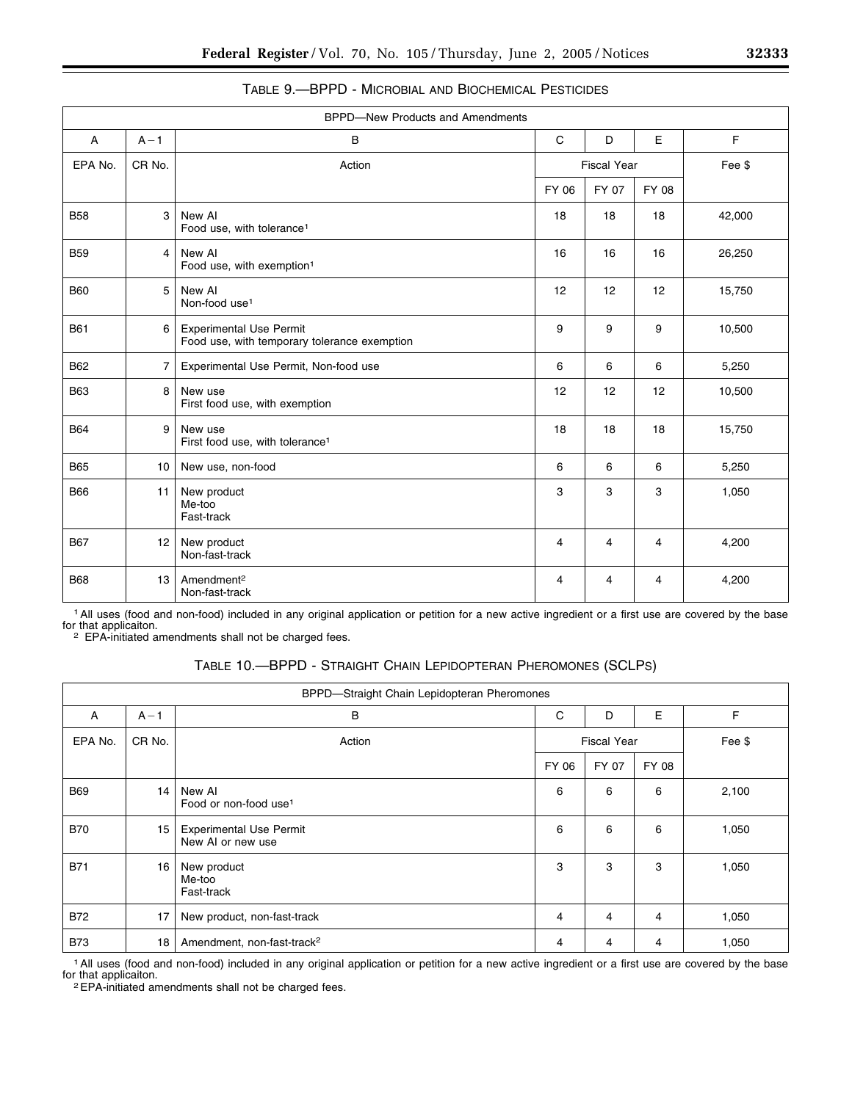| <b>BPPD-New Products and Amendments</b> |                 |                                                                                |                    |       |       |        |
|-----------------------------------------|-----------------|--------------------------------------------------------------------------------|--------------------|-------|-------|--------|
| Α                                       | $A - 1$         | B                                                                              | C                  | D     | E     | F.     |
| EPA No.                                 | CR No.          | Action                                                                         | <b>Fiscal Year</b> |       |       | Fee \$ |
|                                         |                 |                                                                                | FY 06              | FY 07 | FY 08 |        |
| <b>B58</b>                              | 3               | New AI<br>Food use, with tolerance <sup>1</sup>                                | 18                 | 18    | 18    | 42,000 |
| <b>B59</b>                              | 4               | New AI<br>Food use, with exemption <sup>1</sup>                                | 16                 | 16    | 16    | 26,250 |
| <b>B60</b>                              | 5               | New AI<br>Non-food use <sup>1</sup>                                            | 12                 | 12    | 12    | 15,750 |
| <b>B61</b>                              | 6               | <b>Experimental Use Permit</b><br>Food use, with temporary tolerance exemption | 9                  | 9     | 9     | 10,500 |
| <b>B62</b>                              | $\overline{7}$  | Experimental Use Permit, Non-food use                                          | 6                  | 6     | 6     | 5,250  |
| <b>B63</b>                              | 8               | New use<br>First food use, with exemption                                      | 12                 | 12    | 12    | 10,500 |
| <b>B64</b>                              | 9               | New use<br>First food use, with tolerance <sup>1</sup>                         | 18                 | 18    | 18    | 15,750 |
| <b>B65</b>                              | 10              | New use, non-food                                                              | 6                  | 6     | 6     | 5,250  |
| <b>B66</b>                              | 11              | New product<br>Me-too<br>Fast-track                                            | 3                  | 3     | 3     | 1,050  |
| <b>B67</b>                              | 12 <sup>2</sup> | New product<br>Non-fast-track                                                  | $\overline{4}$     | 4     | 4     | 4,200  |
| <b>B68</b>                              | 13              | Amendment <sup>2</sup><br>Non-fast-track                                       | 4                  | 4     | 4     | 4,200  |

| TABLE 9.—BPPD - MICROBIAL AND BIOCHEMICAL PESTICIDES |  |  |  |
|------------------------------------------------------|--|--|--|
|------------------------------------------------------|--|--|--|

1All uses (food and non-food) included in any original application or petition for a new active ingredient or a first use are covered by the base for that applicaiton.

2 EPA-initiated amendments shall not be charged fees.

# TABLE 10.—BPPD - STRAIGHT CHAIN LEPIDOPTERAN PHEROMONES (SCLPS)

| BPPD-Straight Chain Lepidopteran Pheromones |         |                                                     |                    |       |       |        |  |
|---------------------------------------------|---------|-----------------------------------------------------|--------------------|-------|-------|--------|--|
| A                                           | $A - 1$ | B                                                   | С                  | D     | E     | F      |  |
| EPA No.                                     | CR No.  | Action                                              | <b>Fiscal Year</b> |       |       | Fee \$ |  |
|                                             |         |                                                     | FY 06              | FY 07 | FY 08 |        |  |
| <b>B69</b>                                  | 14      | New AI<br>Food or non-food use <sup>1</sup>         | 6                  | 6     | 6     | 2,100  |  |
| <b>B70</b>                                  | 15      | <b>Experimental Use Permit</b><br>New AI or new use | 6                  | 6     | 6     | 1,050  |  |
| <b>B71</b>                                  | 16      | New product<br>Me-too<br>Fast-track                 | 3                  | 3     | 3     | 1,050  |  |
| <b>B72</b>                                  | 17      | New product, non-fast-track                         | 4                  | 4     | 4     | 1,050  |  |
| <b>B73</b>                                  | 18      | Amendment, non-fast-track <sup>2</sup>              | 4                  | 4     | 4     | 1,050  |  |

1All uses (food and non-food) included in any original application or petition for a new active ingredient or a first use are covered by the base for that applicaiton.

2EPA-initiated amendments shall not be charged fees.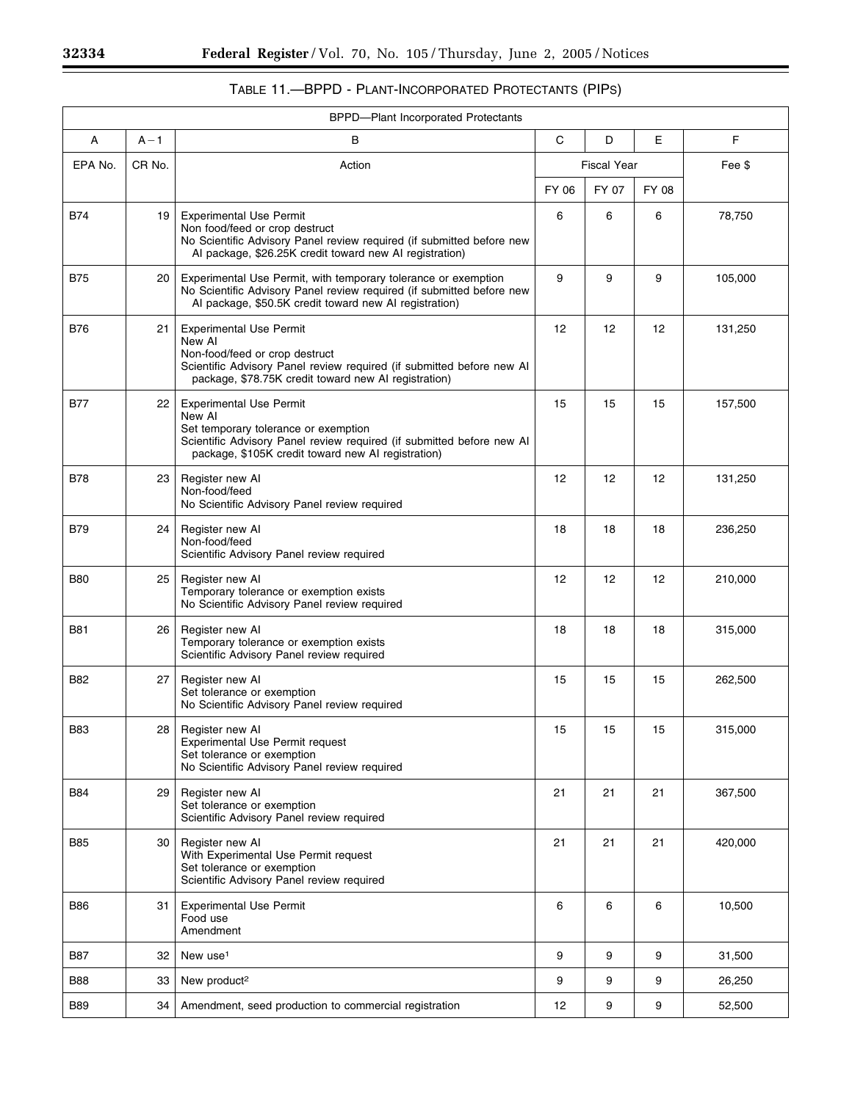Ξ

۰

| <b>BPPD-Plant Incorporated Protectants</b> |         |                                                                                                                                                                                                                 |                    |       |        |         |
|--------------------------------------------|---------|-----------------------------------------------------------------------------------------------------------------------------------------------------------------------------------------------------------------|--------------------|-------|--------|---------|
| Α                                          | $A - 1$ | B                                                                                                                                                                                                               | C                  | D     | Е      | F       |
| EPA No.                                    | CR No.  | Action                                                                                                                                                                                                          | <b>Fiscal Year</b> |       | Fee \$ |         |
|                                            |         |                                                                                                                                                                                                                 | FY 06              | FY 07 | FY 08  |         |
| B74                                        | 19      | <b>Experimental Use Permit</b><br>Non food/feed or crop destruct<br>No Scientific Advisory Panel review required (if submitted before new<br>Al package, \$26.25K credit toward new Al registration)            | 6                  | 6     | 6      | 78,750  |
| <b>B75</b>                                 | 20      | Experimental Use Permit, with temporary tolerance or exemption<br>No Scientific Advisory Panel review required (if submitted before new<br>Al package, \$50.5K credit toward new Al registration)               | 9                  | 9     | 9      | 105,000 |
| <b>B76</b>                                 | 21      | <b>Experimental Use Permit</b><br>New AI<br>Non-food/feed or crop destruct<br>Scientific Advisory Panel review required (if submitted before new Al<br>package, \$78.75K credit toward new AI registration)     | 12                 | 12    | 12     | 131,250 |
| <b>B77</b>                                 | 22      | <b>Experimental Use Permit</b><br>New AI<br>Set temporary tolerance or exemption<br>Scientific Advisory Panel review required (if submitted before new Al<br>package, \$105K credit toward new AI registration) | 15                 | 15    | 15     | 157,500 |
| <b>B78</b>                                 | 23      | Register new AI<br>Non-food/feed<br>No Scientific Advisory Panel review required                                                                                                                                | 12                 | 12    | 12     | 131,250 |
| <b>B79</b>                                 | 24      | Register new AI<br>Non-food/feed<br>Scientific Advisory Panel review required                                                                                                                                   | 18                 | 18    | 18     | 236,250 |
| <b>B80</b>                                 | 25      | Register new AI<br>Temporary tolerance or exemption exists<br>No Scientific Advisory Panel review required                                                                                                      | 12 <sup>2</sup>    | 12    | 12     | 210,000 |
| <b>B81</b>                                 | 26      | Register new AI<br>Temporary tolerance or exemption exists<br>Scientific Advisory Panel review required                                                                                                         | 18                 | 18    | 18     | 315,000 |
| <b>B82</b>                                 | 27      | Register new AI<br>Set tolerance or exemption<br>No Scientific Advisory Panel review required                                                                                                                   | 15                 | 15    | 15     | 262,500 |
| <b>B83</b>                                 | 28      | Register new Al<br><b>Experimental Use Permit request</b><br>Set tolerance or exemption<br>No Scientific Advisory Panel review required                                                                         | 15                 | 15    | 15     | 315,000 |
| B84                                        | 29      | Register new AI<br>Set tolerance or exemption<br>Scientific Advisory Panel review required                                                                                                                      | 21                 | 21    | 21     | 367,500 |
| B85                                        | 30      | Register new Al<br>With Experimental Use Permit request<br>Set tolerance or exemption<br>Scientific Advisory Panel review required                                                                              | 21                 | 21    | 21     | 420,000 |
| B86                                        | 31      | <b>Experimental Use Permit</b><br>Food use<br>Amendment                                                                                                                                                         | 6                  | 6     | 6      | 10,500  |
| B87                                        | 32      | New use <sup>1</sup>                                                                                                                                                                                            | 9                  | 9     | 9      | 31,500  |
| <b>B88</b>                                 | 33      | New product <sup>2</sup>                                                                                                                                                                                        | 9                  | 9     | 9      | 26,250  |
| <b>B89</b>                                 | 34      | Amendment, seed production to commercial registration                                                                                                                                                           | 12                 | 9     | 9      | 52,500  |

# TABLE 11.—BPPD - PLANT-INCORPORATED PROTECTANTS (PIPS)